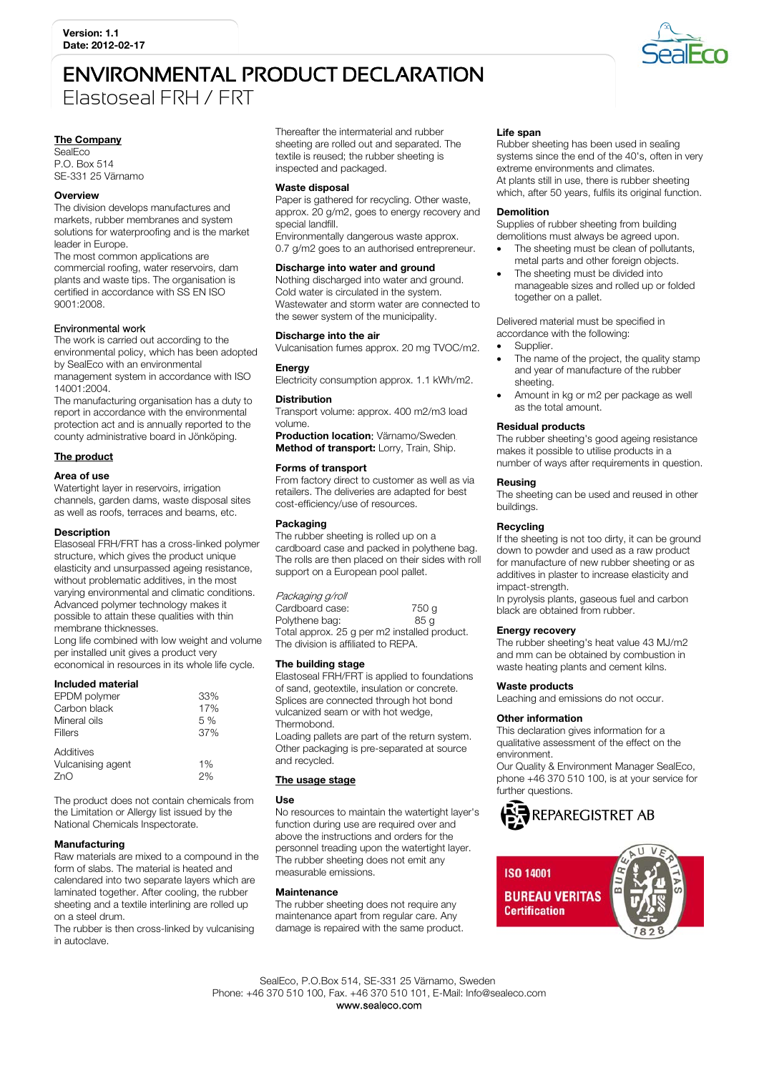# ENVIRONMENTAL PRODUCT DECLARATION Elastoseal FRH / FRT

# The Company

**SealEco** P.O. Box 514 SE-331 25 Värnamo

#### **Overview**

The division develops manufactures and markets, rubber membranes and system solutions for waterproofing and is the market leader in Europe.

The most common applications are commercial roofing, water reservoirs, dam plants and waste tips. The organisation is certified in accordance with SS EN ISO 9001:2008.

# Environmental work

The work is carried out according to the environmental policy, which has been adopted by SealEco with an environmental management system in accordance with ISO 14001:2004.

The manufacturing organisation has a duty to report in accordance with the environmental protection act and is annually reported to the county administrative board in Jönköping.

# The product

#### Area of use

Watertight layer in reservoirs, irrigation channels, garden dams, waste disposal sites as well as roofs, terraces and beams, etc.

#### **Description**

Elasoseal FRH/FRT has a cross-linked polymer structure, which gives the product unique elasticity and unsurpassed ageing resistance, without problematic additives, in the most varying environmental and climatic conditions. Advanced polymer technology makes it possible to attain these qualities with thin membrane thicknesses.

Long life combined with low weight and volume per installed unit gives a product very economical in resources in its whole life cycle.

#### Included material

| EPDM polymer      | 33% |
|-------------------|-----|
| Carbon black      | 17% |
| Mineral oils      | 5%  |
| Fillers           | 37% |
| Additives         |     |
| Vulcanising agent | 1%  |
| 7nO               |     |

The product does not contain chemicals from the Limitation or Allergy list issued by the National Chemicals Inspectorate.

# **Manufacturing**

Raw materials are mixed to a compound in the form of slabs. The material is heated and calendared into two separate layers which are laminated together. After cooling, the rubber sheeting and a textile interlining are rolled up on a steel drum.

The rubber is then cross-linked by vulcanising in autoclave.

Thereafter the intermaterial and rubber sheeting are rolled out and separated. The textile is reused; the rubber sheeting is inspected and packaged.

#### Waste disposal

Paper is gathered for recycling. Other waste, approx. 20 g/m2, goes to energy recovery and special landfill. Environmentally dangerous waste approx.

0.7 g/m2 goes to an authorised entrepreneur.

# Discharge into water and ground

Nothing discharged into water and ground. Cold water is circulated in the system. Wastewater and storm water are connected to the sewer system of the municipality.

#### Discharge into the air

Vulcanisation fumes approx. 20 mg TVOC/m2.

# **Energy**

Electricity consumption approx. 1.1 kWh/m2.

#### **Distribution**

Transport volume: approx. 400 m2/m3 load volume.

Production location: Värnamo/Sweden. Method of transport: Lorry, Train, Ship.

#### Forms of transport

From factory direct to customer as well as via retailers. The deliveries are adapted for best cost-efficiency/use of resources.

#### Packaging

The rubber sheeting is rolled up on a cardboard case and packed in polythene bag. The rolls are then placed on their sides with roll support on a European pool pallet.

Packaging g/roll Cardboard case: 750 g<br>
Polythene bag: 85 g Polythene bag: Total approx. 25 g per m2 installed product. The division is affiliated to REPA.

#### The building stage

Elastoseal FRH/FRT is applied to foundations of sand, geotextile, insulation or concrete. Splices are connected through hot bond vulcanized seam or with hot wedge, **Thermobond** 

Loading pallets are part of the return system. Other packaging is pre-separated at source and recycled.

# The usage stage

# Use

No resources to maintain the watertight layer's function during use are required over and above the instructions and orders for the personnel treading upon the watertight layer. The rubber sheeting does not emit any measurable emissions.

# **Maintenance**

The rubber sheeting does not require any maintenance apart from regular care. Any damage is repaired with the same product.

# Life span

Rubber sheeting has been used in sealing systems since the end of the 40's, often in very extreme environments and climates. At plants still in use, there is rubber sheeting which, after 50 years, fulfils its original function.

#### Demolition

Supplies of rubber sheeting from building demolitions must always be agreed upon.

- The sheeting must be clean of pollutants, metal parts and other foreign objects.
- The sheeting must be divided into manageable sizes and rolled up or folded together on a pallet.

Delivered material must be specified in accordance with the following:

- Supplier.
- The name of the project, the quality stamp and year of manufacture of the rubber sheeting.
- Amount in kg or m2 per package as well as the total amount.

# Residual products

The rubber sheeting's good ageing resistance makes it possible to utilise products in a number of ways after requirements in question.

# Reusing

The sheeting can be used and reused in other buildings.

# Recycling

If the sheeting is not too dirty, it can be ground down to powder and used as a raw product for manufacture of new rubber sheeting or as additives in plaster to increase elasticity and impact-strength.

In pyrolysis plants, gaseous fuel and carbon black are obtained from rubber.

#### Energy recovery

The rubber sheeting's heat value 43 MJ/m2 and mm can be obtained by combustion in waste heating plants and cement kilns.

#### Waste products

Leaching and emissions do not occur.

# Other information

This declaration gives information for a qualitative assessment of the effect on the environment.

Our Quality & Environment Manager SealEco, phone +46 370 510 100, is at your service for further questions.





 SealEco, P.O.Box 514, SE-331 25 Värnamo, Sweden Phone: +46 370 510 100, Fax. +46 370 510 101, E-Mail: Info@sealeco.com www.sealeco.com